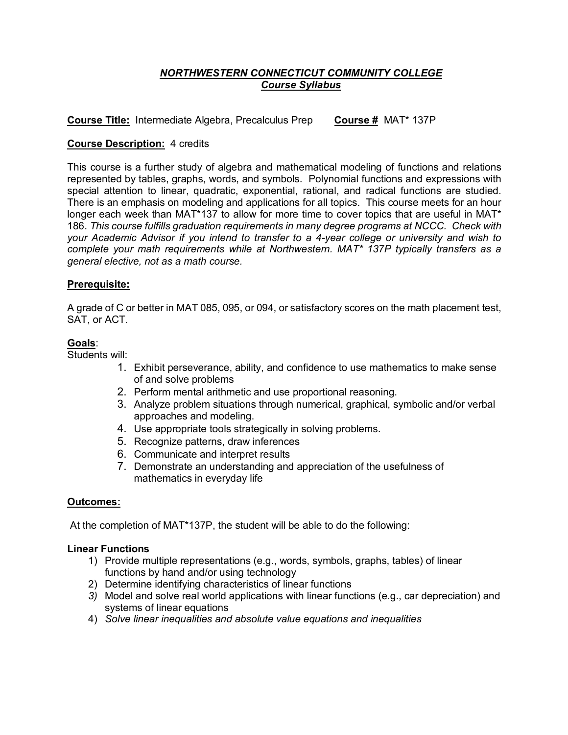# *NORTHWESTERN CONNECTICUT COMMUNITY COLLEGE Course Syllabus*

**Course Title:** Intermediate Algebra, Precalculus Prep **Course #** MAT\* 137P

## **Course Description:** 4 credits

This course is a further study of algebra and mathematical modeling of functions and relations represented by tables, graphs, words, and symbols. Polynomial functions and expressions with special attention to linear, quadratic, exponential, rational, and radical functions are studied. There is an emphasis on modeling and applications for all topics. This course meets for an hour longer each week than MAT\*137 to allow for more time to cover topics that are useful in MAT\* 186. *This course fulfills graduation requirements in many degree programs at NCCC. Check with your Academic Advisor if you intend to transfer to a 4-year college or university and wish to complete your math requirements while at Northwestern. MAT\* 137P typically transfers as a general elective, not as a math course.*

## **Prerequisite:**

A grade of C or better in MAT 085, 095, or 094, or satisfactory scores on the math placement test, SAT, or ACT.

## **Goals**:

Students will:

- 1. Exhibit perseverance, ability, and confidence to use mathematics to make sense of and solve problems
- 2. Perform mental arithmetic and use proportional reasoning.
- 3. Analyze problem situations through numerical, graphical, symbolic and/or verbal approaches and modeling.
- 4. Use appropriate tools strategically in solving problems.
- 5. Recognize patterns, draw inferences
- 6. Communicate and interpret results
- 7. Demonstrate an understanding and appreciation of the usefulness of mathematics in everyday life

#### **Outcomes:**

At the completion of MAT\*137P, the student will be able to do the following:

## **Linear Functions**

- 1) Provide multiple representations (e.g., words, symbols, graphs, tables) of linear functions by hand and/or using technology
- 2) Determine identifying characteristics of linear functions
- *3)* Model and solve real world applications with linear functions (e.g., car depreciation) and systems of linear equations
- 4) *Solve linear inequalities and absolute value equations and inequalities*